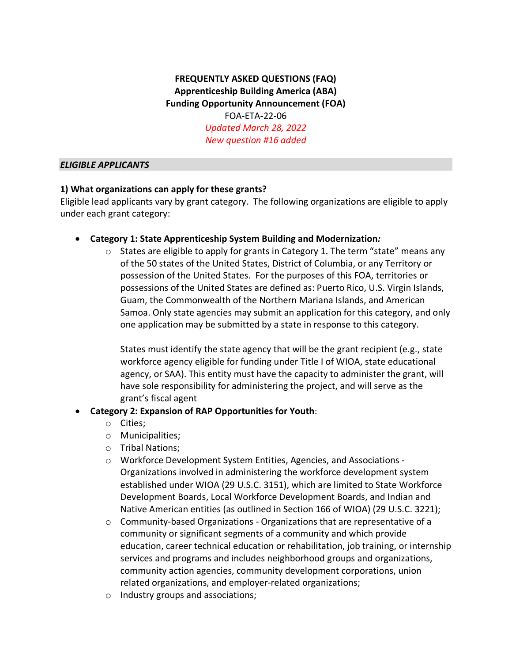# **FREQUENTLY ASKED QUESTIONS (FAQ) Apprenticeship Building America (ABA) Funding Opportunity Announcement (FOA)** FOA-ETA-22-06 *Updated March 28, 2022 New question #16 added*

#### *ELIGIBLE APPLICANTS*

### **1) What organizations can apply for these grants?**

Eligible lead applicants vary by grant category. The following organizations are eligible to apply under each grant category:

### • **Category 1: State Apprenticeship System Building and Modernization***:*

 $\circ$  States are eligible to apply for grants in Category 1. The term "state" means any of the 50 states of the United States, District of Columbia, or any Territory or possession of the United States. For the purposes of this FOA, territories or possessions of the United States are defined as: Puerto Rico, U.S. Virgin Islands, Guam, the Commonwealth of the Northern Mariana Islands, and American Samoa. Only state agencies may submit an application for this category, and only one application may be submitted by a state in response to this category.

States must identify the state agency that will be the grant recipient (e.g., state workforce agency eligible for funding under Title I of WIOA, state educational agency, or SAA). This entity must have the capacity to administer the grant, will have sole responsibility for administering the project, and will serve as the grant's fiscal agent

#### • **Category 2: Expansion of RAP Opportunities for Youth**:

- o Cities;
- o Municipalities;
- o Tribal Nations;
- o Workforce Development System Entities, Agencies, and Associations Organizations involved in administering the workforce development system established under WIOA (29 U.S.C. 3151), which are limited to State Workforce Development Boards, Local Workforce Development Boards, and Indian and Native American entities (as outlined in Section 166 of WIOA) (29 U.S.C. 3221);
- $\circ$  Community-based Organizations Organizations that are representative of a community or significant segments of a community and which provide education, career technical education or rehabilitation, job training, or internship services and programs and includes neighborhood groups and organizations, community action agencies, community development corporations, union related organizations, and employer-related organizations;
- o Industry groups and associations;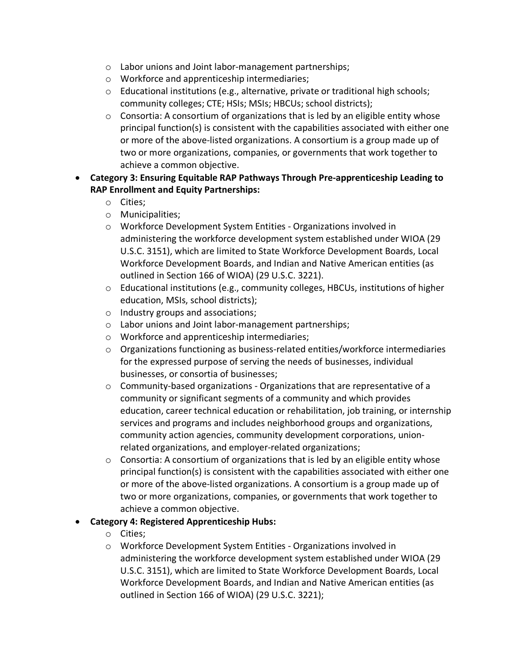- o Labor unions and Joint labor-management partnerships;
- o Workforce and apprenticeship intermediaries;
- $\circ$  Educational institutions (e.g., alternative, private or traditional high schools; community colleges; CTE; HSIs; MSIs; HBCUs; school districts);
- o Consortia: A consortium of organizations that is led by an eligible entity whose principal function(s) is consistent with the capabilities associated with either one or more of the above-listed organizations. A consortium is a group made up of two or more organizations, companies, or governments that work together to achieve a common objective.
- **Category 3: Ensuring Equitable RAP Pathways Through Pre-apprenticeship Leading to RAP Enrollment and Equity Partnerships:**
	- o Cities;
	- o Municipalities;
	- o Workforce Development System Entities Organizations involved in administering the workforce development system established under WIOA (29 U.S.C. 3151), which are limited to State Workforce Development Boards, Local Workforce Development Boards, and Indian and Native American entities (as outlined in Section 166 of WIOA) (29 U.S.C. 3221).
	- o Educational institutions (e.g., community colleges, HBCUs, institutions of higher education, MSIs, school districts);
	- o Industry groups and associations;
	- o Labor unions and Joint labor-management partnerships;
	- o Workforce and apprenticeship intermediaries;
	- $\circ$  Organizations functioning as business-related entities/workforce intermediaries for the expressed purpose of serving the needs of businesses, individual businesses, or consortia of businesses;
	- o Community-based organizations Organizations that are representative of a community or significant segments of a community and which provides education, career technical education or rehabilitation, job training, or internship services and programs and includes neighborhood groups and organizations, community action agencies, community development corporations, unionrelated organizations, and employer-related organizations;
	- $\circ$  Consortia: A consortium of organizations that is led by an eligible entity whose principal function(s) is consistent with the capabilities associated with either one or more of the above-listed organizations. A consortium is a group made up of two or more organizations, companies, or governments that work together to achieve a common objective.
- **Category 4: Registered Apprenticeship Hubs:**
	- o Cities;
	- o Workforce Development System Entities Organizations involved in administering the workforce development system established under WIOA (29 U.S.C. 3151), which are limited to State Workforce Development Boards, Local Workforce Development Boards, and Indian and Native American entities (as outlined in Section 166 of WIOA) (29 U.S.C. 3221);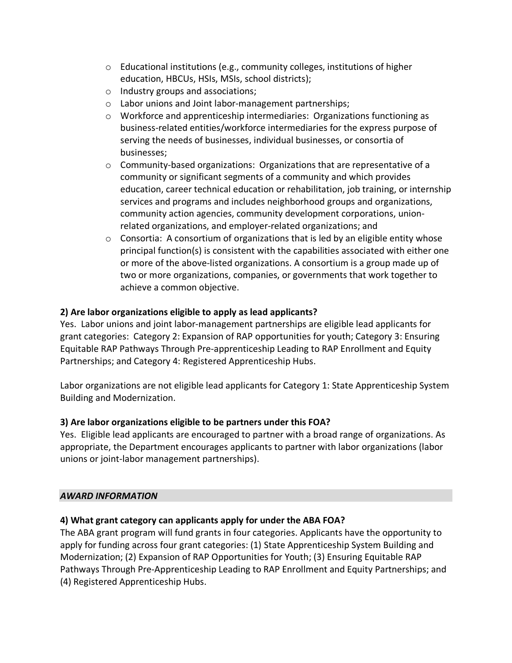- o Educational institutions (e.g., community colleges, institutions of higher education, HBCUs, HSIs, MSIs, school districts);
- o Industry groups and associations;
- o Labor unions and Joint labor-management partnerships;
- $\circ$  Workforce and apprenticeship intermediaries: Organizations functioning as business-related entities/workforce intermediaries for the express purpose of serving the needs of businesses, individual businesses, or consortia of businesses;
- $\circ$  Community-based organizations: Organizations that are representative of a community or significant segments of a community and which provides education, career technical education or rehabilitation, job training, or internship services and programs and includes neighborhood groups and organizations, community action agencies, community development corporations, unionrelated organizations, and employer-related organizations; and
- $\circ$  Consortia: A consortium of organizations that is led by an eligible entity whose principal function(s) is consistent with the capabilities associated with either one or more of the above-listed organizations. A consortium is a group made up of two or more organizations, companies, or governments that work together to achieve a common objective.

## **2) Are labor organizations eligible to apply as lead applicants?**

Yes. Labor unions and joint labor-management partnerships are eligible lead applicants for grant categories: Category 2: Expansion of RAP opportunities for youth; Category 3: Ensuring Equitable RAP Pathways Through Pre-apprenticeship Leading to RAP Enrollment and Equity Partnerships; and Category 4: Registered Apprenticeship Hubs.

Labor organizations are not eligible lead applicants for Category 1: State Apprenticeship System Building and Modernization.

### **3) Are labor organizations eligible to be partners under this FOA?**

Yes. Eligible lead applicants are encouraged to partner with a broad range of organizations. As appropriate, the Department encourages applicants to partner with labor organizations (labor unions or joint-labor management partnerships).

### *AWARD INFORMATION*

### **4) What grant category can applicants apply for under the ABA FOA?**

The ABA grant program will fund grants in four categories. Applicants have the opportunity to apply for funding across four grant categories: (1) State Apprenticeship System Building and Modernization; (2) Expansion of RAP Opportunities for Youth; (3) Ensuring Equitable RAP Pathways Through Pre-Apprenticeship Leading to RAP Enrollment and Equity Partnerships; and (4) Registered Apprenticeship Hubs.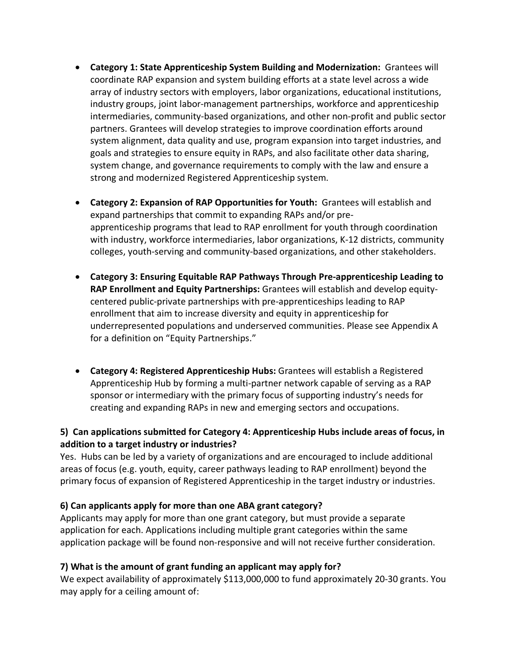- **Category 1: State Apprenticeship System Building and Modernization:** Grantees will coordinate RAP expansion and system building efforts at a state level across a wide array of industry sectors with employers, labor organizations, educational institutions, industry groups, joint labor-management partnerships, workforce and apprenticeship intermediaries, community-based organizations, and other non-profit and public sector partners. Grantees will develop strategies to improve coordination efforts around system alignment, data quality and use, program expansion into target industries, and goals and strategies to ensure equity in RAPs, and also facilitate other data sharing, system change, and governance requirements to comply with the law and ensure a strong and modernized Registered Apprenticeship system.
- **Category 2: Expansion of RAP Opportunities for Youth:** Grantees will establish and expand partnerships that commit to expanding RAPs and/or preapprenticeship programs that lead to RAP enrollment for youth through coordination with industry, workforce intermediaries, labor organizations, K-12 districts, community colleges, youth-serving and community-based organizations, and other stakeholders.
- **Category 3: Ensuring Equitable RAP Pathways Through Pre-apprenticeship Leading to RAP Enrollment and Equity Partnerships:** Grantees will establish and develop equitycentered public-private partnerships with pre-apprenticeships leading to RAP enrollment that aim to increase diversity and equity in apprenticeship for underrepresented populations and underserved communities. Please see Appendix A for a definition on "Equity Partnerships."
- **Category 4: Registered Apprenticeship Hubs:** Grantees will establish a Registered Apprenticeship Hub by forming a multi-partner network capable of serving as a RAP sponsor or intermediary with the primary focus of supporting industry's needs for creating and expanding RAPs in new and emerging sectors and occupations.

## **5) Can applications submitted for Category 4: Apprenticeship Hubs include areas of focus, in addition to a target industry or industries?**

Yes. Hubs can be led by a variety of organizations and are encouraged to include additional areas of focus (e.g. youth, equity, career pathways leading to RAP enrollment) beyond the primary focus of expansion of Registered Apprenticeship in the target industry or industries.

### **6) Can applicants apply for more than one ABA grant category?**

Applicants may apply for more than one grant category, but must provide a separate application for each. Applications including multiple grant categories within the same application package will be found non-responsive and will not receive further consideration.

### **7) What is the amount of grant funding an applicant may apply for?**

We expect availability of approximately \$113,000,000 to fund approximately 20-30 grants. You may apply for a ceiling amount of: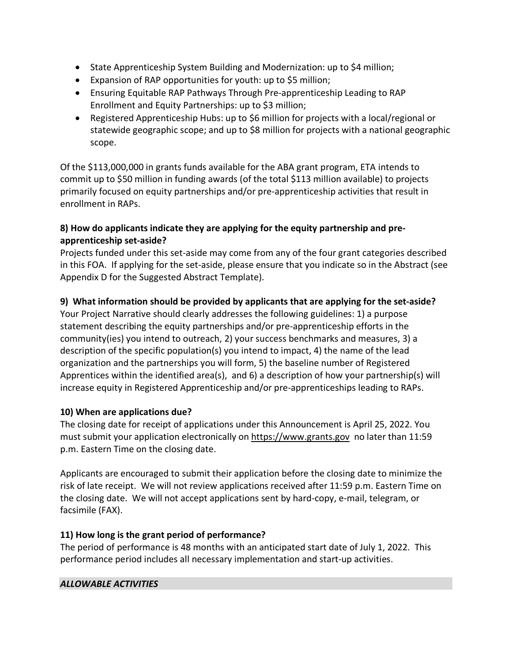- State Apprenticeship System Building and Modernization: up to \$4 million;
- Expansion of RAP opportunities for youth: up to \$5 million;
- Ensuring Equitable RAP Pathways Through Pre-apprenticeship Leading to RAP Enrollment and Equity Partnerships: up to \$3 million;
- Registered Apprenticeship Hubs: up to \$6 million for projects with a local/regional or statewide geographic scope; and up to \$8 million for projects with a national geographic scope.

Of the \$113,000,000 in grants funds available for the ABA grant program, ETA intends to commit up to \$50 million in funding awards (of the total \$113 million available) to projects primarily focused on equity partnerships and/or pre-apprenticeship activities that result in enrollment in RAPs.

# **8) How do applicants indicate they are applying for the equity partnership and preapprenticeship set-aside?**

Projects funded under this set-aside may come from any of the four grant categories described in this FOA. If applying for the set-aside, please ensure that you indicate so in the Abstract (see Appendix D for the Suggested Abstract Template).

# **9) What information should be provided by applicants that are applying for the set-aside?**

Your Project Narrative should clearly addresses the following guidelines: 1) a purpose statement describing the equity partnerships and/or pre-apprenticeship efforts in the community(ies) you intend to outreach, 2) your success benchmarks and measures, 3) a description of the specific population(s) you intend to impact, 4) the name of the lead organization and the partnerships you will form, 5) the baseline number of Registered Apprentices within the identified area(s), and 6) a description of how your partnership(s) will increase equity in Registered Apprenticeship and/or pre-apprenticeships leading to RAPs.

### **10) When are applications due?**

The closing date for receipt of applications under this Announcement is April 25, 2022. You must submit your application electronically on [https://www.grants.gov](https://www.grants.gov/) no later than 11:59 p.m. Eastern Time on the closing date.

Applicants are encouraged to submit their application before the closing date to minimize the risk of late receipt. We will not review applications received after 11:59 p.m. Eastern Time on the closing date. We will not accept applications sent by hard-copy, e-mail, telegram, or facsimile (FAX).

### **11) How long is the grant period of performance?**

The period of performance is 48 months with an anticipated start date of July 1, 2022. This performance period includes all necessary implementation and start-up activities.

### *ALLOWABLE ACTIVITIES*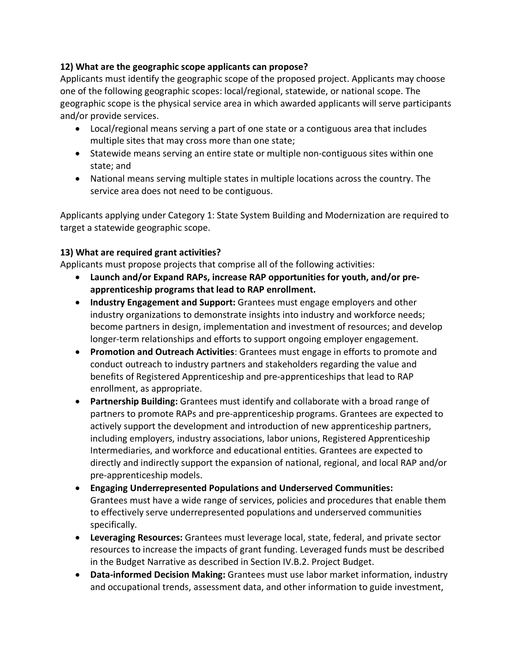### **12) What are the geographic scope applicants can propose?**

Applicants must identify the geographic scope of the proposed project. Applicants may choose one of the following geographic scopes: local/regional, statewide, or national scope. The geographic scope is the physical service area in which awarded applicants will serve participants and/or provide services.  

- Local/regional means serving a part of one state or a contiguous area that includes multiple sites that may cross more than one state;
- Statewide means serving an entire state or multiple non-contiguous sites within one state; and
- National means serving multiple states in multiple locations across the country. The service area does not need to be contiguous.

Applicants applying under Category 1: State System Building and Modernization are required to target a statewide geographic scope.

## **13) What are required grant activities?**

Applicants must propose projects that comprise all of the following activities:

- **Launch and/or Expand RAPs, increase RAP opportunities for youth, and/or preapprenticeship programs that lead to RAP enrollment.**
- **Industry Engagement and Support:** Grantees must engage employers and other industry organizations to demonstrate insights into industry and workforce needs; become partners in design, implementation and investment of resources; and develop longer-term relationships and efforts to support ongoing employer engagement.
- **Promotion and Outreach Activities**: Grantees must engage in efforts to promote and conduct outreach to industry partners and stakeholders regarding the value and benefits of Registered Apprenticeship and pre-apprenticeships that lead to RAP enrollment, as appropriate.
- **Partnership Building:** Grantees must identify and collaborate with a broad range of partners to promote RAPs and pre-apprenticeship programs. Grantees are expected to actively support the development and introduction of new apprenticeship partners, including employers, industry associations, labor unions, Registered Apprenticeship Intermediaries, and workforce and educational entities. Grantees are expected to directly and indirectly support the expansion of national, regional, and local RAP and/or pre-apprenticeship models.
- **Engaging Underrepresented Populations and Underserved Communities:** Grantees must have a wide range of services, policies and procedures that enable them to effectively serve underrepresented populations and underserved communities specifically.
- **Leveraging Resources:** Grantees must leverage local, state, federal, and private sector resources to increase the impacts of grant funding. Leveraged funds must be described in the Budget Narrative as described in Section IV.B.2. Project Budget.
- **Data-informed Decision Making:** Grantees must use labor market information, industry and occupational trends, assessment data, and other information to guide investment,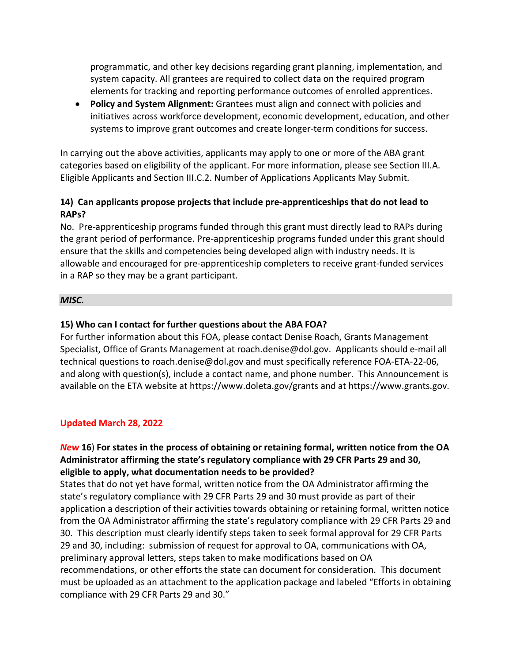programmatic, and other key decisions regarding grant planning, implementation, and system capacity. All grantees are required to collect data on the required program elements for tracking and reporting performance outcomes of enrolled apprentices. 

• **Policy and System Alignment:** Grantees must align and connect with policies and initiatives across workforce development, economic development, education, and other systems to improve grant outcomes and create longer-term conditions for success.

In carrying out the above activities, applicants may apply to one or more of the ABA grant categories based on eligibility of the applicant. For more information, please see Section III.A. Eligible Applicants and Section III.C.2. Number of Applications Applicants May Submit.

### **14) Can applicants propose projects that include pre-apprenticeships that do not lead to RAPs?**

No. Pre-apprenticeship programs funded through this grant must directly lead to RAPs during the grant period of performance. Pre-apprenticeship programs funded under this grant should ensure that the skills and competencies being developed align with industry needs. It is allowable and encouraged for pre-apprenticeship completers to receive grant-funded services in a RAP so they may be a grant participant.

#### *MISC.*

### **15) Who can I contact for further questions about the ABA FOA?**

For further information about this FOA, please contact Denise Roach, Grants Management Specialist, Office of Grants Management at roach.denise@dol.gov. Applicants should e-mail all technical questions to roach.denise@dol.gov and must specifically reference FOA-ETA-22-06, and along with question(s), include a contact name, and phone number. This Announcement is available on the ETA website at<https://www.doleta.gov/grants> and a[t https://www.grants.gov.](https://www.grants.gov/)

#### **Updated March 28, 2022**

### *New* **16**) **For states in the process of obtaining or retaining formal, written notice from the OA Administrator affirming the state's regulatory compliance with 29 CFR Parts 29 and 30, eligible to apply, what documentation needs to be provided?**

States that do not yet have formal, written notice from the OA Administrator affirming the state's regulatory compliance with 29 CFR Parts 29 and 30 must provide as part of their application a description of their activities towards obtaining or retaining formal, written notice from the OA Administrator affirming the state's regulatory compliance with 29 CFR Parts 29 and 30. This description must clearly identify steps taken to seek formal approval for 29 CFR Parts 29 and 30, including: submission of request for approval to OA, communications with OA, preliminary approval letters, steps taken to make modifications based on OA recommendations, or other efforts the state can document for consideration. This document must be uploaded as an attachment to the application package and labeled "Efforts in obtaining compliance with 29 CFR Parts 29 and 30."